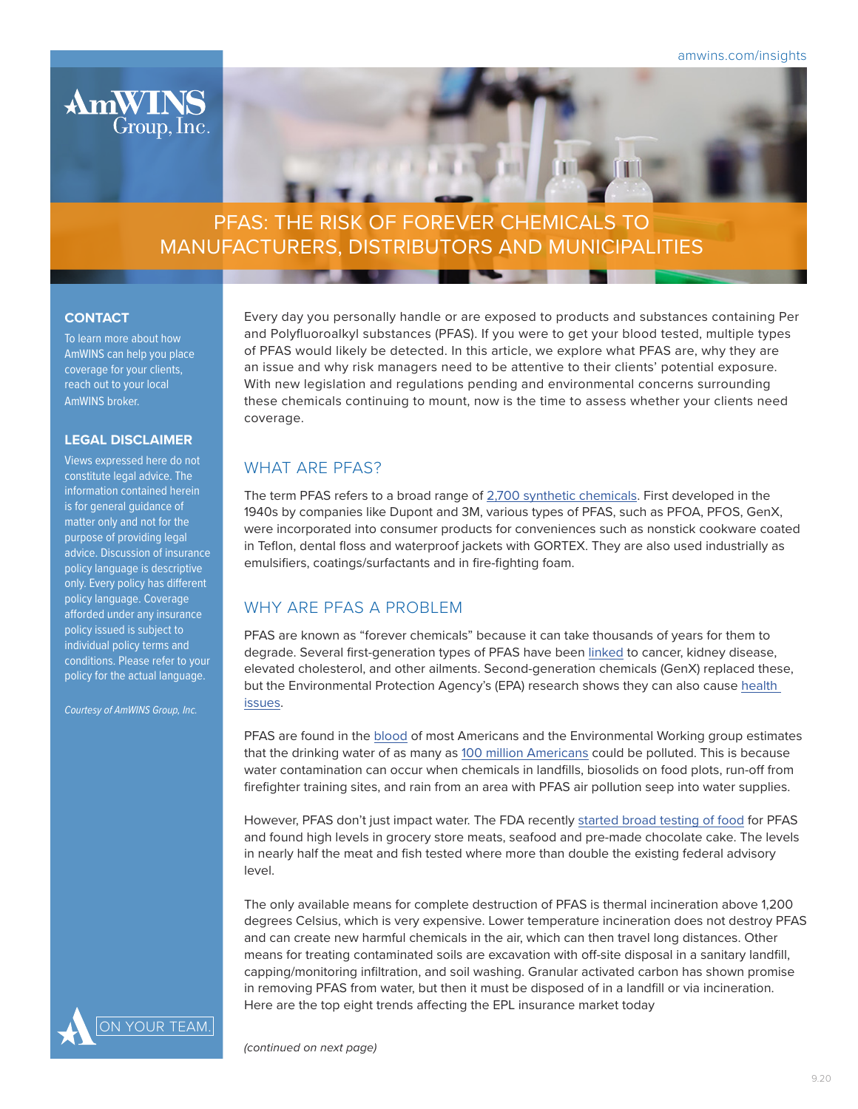

# PFAS: THE RISK OF FOREVER CHEMICALS TO MANUFACTURERS, DISTRIBUTORS AND MUNICIPALITIES

### **CONTACT**

To learn more about how AmWINS can help you place coverage for your clients, reach out to your local AmWINS broker.

### **LEGAL DISCLAIMER**

Views expressed here do not constitute legal advice. The information contained herein is for general guidance of matter only and not for the purpose of providing legal advice. Discussion of insurance policy language is descriptive only. Every policy has different policy language. Coverage afforded under any insurance policy issued is subject to individual policy terms and conditions. Please refer to your policy for the actual language.

*Courtesy of AmWINS Group, Inc.*

YOUR TEAM

Every day you personally handle or are exposed to products and substances containing Per and Polyfluoroalkyl substances (PFAS). If you were to get your blood tested, multiple types of PFAS would likely be detected. In this article, we explore what PFAS are, why they are an issue and why risk managers need to be attentive to their clients' potential exposure. With new legislation and regulations pending and environmental concerns surrounding these chemicals continuing to mount, now is the time to assess whether your clients need coverage.

**The Second Second Second** 

# WHAT ARE PFAS?

The term PFAS refers to a broad range of [2,700 synthetic chemicals.](http://www.oecd.org/officialdocuments/publicdisplaydocumentpdf/?cote=ENV-JM-MONO(2018)7&doclanguage=en) First developed in the 1940s by companies like Dupont and 3M, various types of PFAS, such as PFOA, PFOS, GenX, were incorporated into consumer products for conveniences such as nonstick cookware coated in Teflon, dental floss and waterproof jackets with GORTEX. They are also used industrially as emulsifiers, coatings/surfactants and in fire-fighting foam.

# WHY ARF PFAS A PROBLEM

PFAS are known as "forever chemicals" because it can take thousands of years for them to degrade. Several first-generation types of PFAS have been [linked](https://www.ncbi.nlm.nih.gov/pmc/articles/PMC5062567/pdf/ez6b00260.pdf) to cancer, kidney disease, elevated cholesterol, and other ailments. Second-generation chemicals (GenX) replaced these, but the Environmental Protection Agency's (EPA) research shows they can also cause [health](https://www.epa.gov/sites/production/files/2018-11/documents/factsheet_pfbs-genx-toxicity_values_11.14.2018.pdf)  [issues](https://www.epa.gov/sites/production/files/2018-11/documents/factsheet_pfbs-genx-toxicity_values_11.14.2018.pdf).

PFAS are found in the [blood](https://www.cdc.gov/exposurereport/pdf/FourthReport_UpdatedTables_Volume1_Jan2019-508.pdf) of most Americans and the Environmental Working group estimates that the drinking water of as many as [100 million Americans](https://www.ewg.org/research/report-110-million-americans-could-have-pfas-contaminated-drinking-water) could be polluted. This is because water contamination can occur when chemicals in landfills, biosolids on food plots, run-off from firefighter training sites, and rain from an area with PFAS air pollution seep into water supplies.

However, PFAS don't just impact water. The FDA recently [started broad testing of food](https://www.pbs.org/newshour/health/fda-food-testing-finds-contamination-by-pfas-and-other-forever-chemicals) for PFAS and found high levels in grocery store meats, seafood and pre-made chocolate cake. The levels in nearly half the meat and fish tested where more than double the existing federal advisory level.

The only available means for complete destruction of PFAS is thermal incineration above 1,200 degrees Celsius, which is very expensive. Lower temperature incineration does not destroy PFAS and can create new harmful chemicals in the air, which can then travel long distances. Other means for treating contaminated soils are excavation with off-site disposal in a sanitary landfill, capping/monitoring infiltration, and soil washing. Granular activated carbon has shown promise in removing PFAS from water, but then it must be disposed of in a landfill or via incineration. Here are the top eight trends affecting the EPL insurance market today

*(continued on next page)*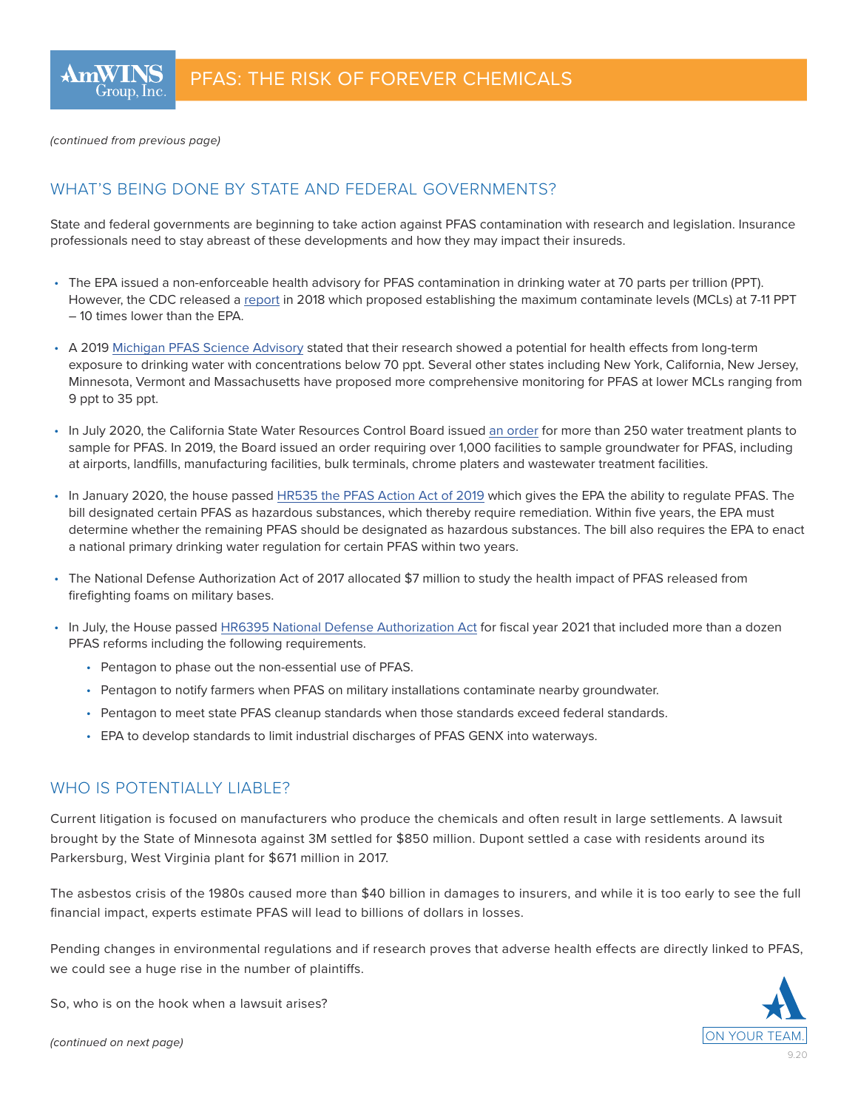*(continued from previous page)*

### WHAT'S BEING DONE BY STATE AND FEDERAL GOVERNMENTS?

State and federal governments are beginning to take action against PFAS contamination with research and legislation. Insurance professionals need to stay abreast of these developments and how they may impact their insureds.

- The EPA issued a non-enforceable health advisory for PFAS contamination in drinking water at 70 parts per trillion (PPT). However, the CDC released a [report](https://www.atsdr.cdc.gov/toxprofiles/tp200.pdf) in 2018 which proposed establishing the maximum contaminate levels (MCLs) at 7-11 PPT – 10 times lower than the EPA.
- A 2019 [Michigan PFAS Science Advisory](https://www.michigan.gov/documents/pfasresponse/Health-Based_Drinking_Water_Value_Recommendations_for_PFAS_in_Michigan_Report_659258_7.pdf) stated that their research showed a potential for health effects from long-term exposure to drinking water with concentrations below 70 ppt. Several other states including New York, California, New Jersey, Minnesota, Vermont and Massachusetts have proposed more comprehensive monitoring for PFAS at lower MCLs ranging from 9 ppt to 35 ppt.
- In July 2020, the California State Water Resources Control Board issued [an order](https://www.waterboards.ca.gov/board_decisions/adopted_orders/water_quality/2020/wqo2020_0015_dwq.pdf) for more than 250 water treatment plants to sample for PFAS. In 2019, the Board issued an order requiring over 1,000 facilities to sample groundwater for PFAS, including at airports, landfills, manufacturing facilities, bulk terminals, chrome platers and wastewater treatment facilities.
- In January 2020, the house passed [HR535 the PFAS Action Act of 2019](https://www.congress.gov/bill/116th-congress/house-bill/535) which gives the EPA the ability to regulate PFAS. The bill designated certain PFAS as hazardous substances, which thereby require remediation. Within five years, the EPA must determine whether the remaining PFAS should be designated as hazardous substances. The bill also requires the EPA to enact a national primary drinking water regulation for certain PFAS within two years.
- The National Defense Authorization Act of 2017 allocated \$7 million to study the health impact of PFAS released from firefighting foams on military bases.
- In July, the House passed [HR6395 National Defense Authorization Act](https://www.congress.gov/bill/116th-congress/house-bill/6395) for fiscal year 2021 that included more than a dozen PFAS reforms including the following requirements.
	- Pentagon to phase out the non-essential use of PFAS.
	- Pentagon to notify farmers when PFAS on military installations contaminate nearby groundwater.
	- Pentagon to meet state PFAS cleanup standards when those standards exceed federal standards.
	- EPA to develop standards to limit industrial discharges of PFAS GENX into waterways.

### WHO IS POTENTIALLY LIABLE?

Current litigation is focused on manufacturers who produce the chemicals and often result in large settlements. A lawsuit brought by the State of Minnesota against 3M settled for \$850 million. Dupont settled a case with residents around its Parkersburg, West Virginia plant for \$671 million in 2017.

The asbestos crisis of the 1980s caused more than \$40 billion in damages to insurers, and while it is too early to see the full financial impact, experts estimate PFAS will lead to billions of dollars in losses.

Pending changes in environmental regulations and if research proves that adverse health effects are directly linked to PFAS, we could see a huge rise in the number of plaintiffs.

So, who is on the hook when a lawsuit arises?

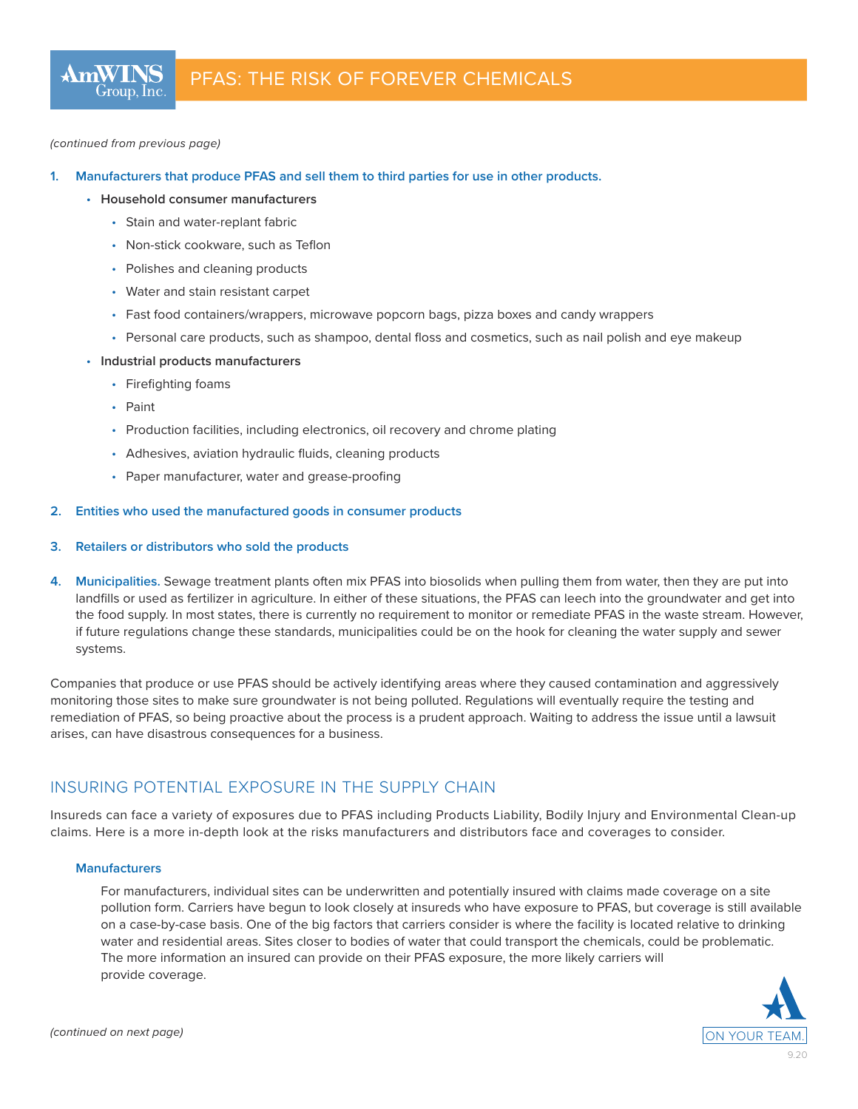#### *(continued from previous page)*

#### **1. Manufacturers that produce PFAS and sell them to third parties for use in other products.**

- **Household consumer manufacturers**
	- Stain and water-replant fabric
	- Non-stick cookware, such as Teflon
	- Polishes and cleaning products
	- Water and stain resistant carpet
	- Fast food containers/wrappers, microwave popcorn bags, pizza boxes and candy wrappers
	- Personal care products, such as shampoo, dental floss and cosmetics, such as nail polish and eye makeup
- **Industrial products manufacturers**
	- Firefighting foams
	- Paint
	- Production facilities, including electronics, oil recovery and chrome plating
	- Adhesives, aviation hydraulic fluids, cleaning products
	- Paper manufacturer, water and grease-proofing

#### **2. Entities who used the manufactured goods in consumer products**

#### **3. Retailers or distributors who sold the products**

**4. Municipalities.** Sewage treatment plants often mix PFAS into biosolids when pulling them from water, then they are put into landfills or used as fertilizer in agriculture. In either of these situations, the PFAS can leech into the groundwater and get into the food supply. In most states, there is currently no requirement to monitor or remediate PFAS in the waste stream. However, if future regulations change these standards, municipalities could be on the hook for cleaning the water supply and sewer systems.

Companies that produce or use PFAS should be actively identifying areas where they caused contamination and aggressively monitoring those sites to make sure groundwater is not being polluted. Regulations will eventually require the testing and remediation of PFAS, so being proactive about the process is a prudent approach. Waiting to address the issue until a lawsuit arises, can have disastrous consequences for a business.

### INSURING POTENTIAL EXPOSURE IN THE SUPPLY CHAIN

Insureds can face a variety of exposures due to PFAS including Products Liability, Bodily Injury and Environmental Clean-up claims. Here is a more in-depth look at the risks manufacturers and distributors face and coverages to consider.

#### **Manufacturers**

For manufacturers, individual sites can be underwritten and potentially insured with claims made coverage on a site pollution form. Carriers have begun to look closely at insureds who have exposure to PFAS, but coverage is still available on a case-by-case basis. One of the big factors that carriers consider is where the facility is located relative to drinking water and residential areas. Sites closer to bodies of water that could transport the chemicals, could be problematic. The more information an insured can provide on their PFAS exposure, the more likely carriers will provide coverage.